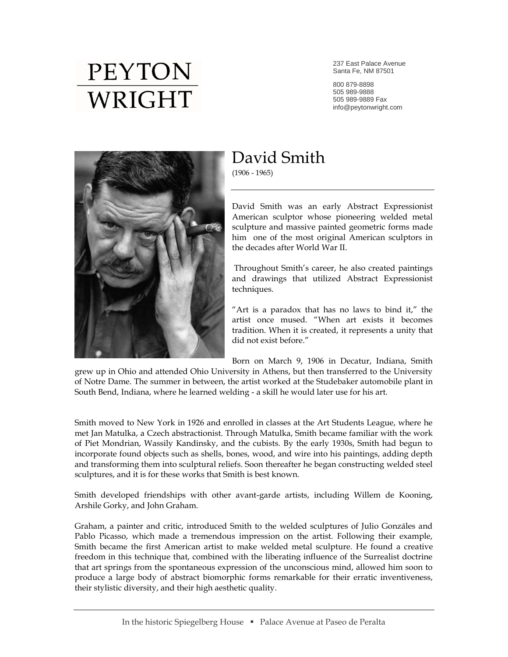## **PEYTON** WRIGHT

237 East Palace Avenue Santa Fe, NM 87501

800 879-8898 505 989-9888 505 989-9889 Fax info@peytonwright.com



## David Smith

(1906 - 1965)

David Smith was an early Abstract Expressionist American sculptor whose pioneering welded metal sculpture and massive painted geometric forms made him one of the most original American sculptors in the decades after World War II.

Throughout Smith's career, he also created paintings and drawings that utilized Abstract Expressionist techniques.

"Art is a paradox that has no laws to bind it," the artist once mused. "When art exists it becomes tradition. When it is created, it represents a unity that did not exist before."

Born on March 9, 1906 in Decatur, Indiana, Smith

grew up in Ohio and attended Ohio University in Athens, but then transferred to the University of Notre Dame. The summer in between, the artist worked at the Studebaker automobile plant in South Bend, Indiana, where he learned welding - a skill he would later use for his art.

Smith moved to New York in 1926 and enrolled in classes at the Art Students League, where he met Jan Matulka, a Czech abstractionist. Through Matulka, Smith became familiar with the work of Piet Mondrian, Wassily Kandinsky, and the cubists. By the early 1930s, Smith had begun to incorporate found objects such as shells, bones, wood, and wire into his paintings, adding depth and transforming them into sculptural reliefs. Soon thereafter he began constructing welded steel sculptures, and it is for these works that Smith is best known.

Smith developed friendships with other avant-garde artists, including Willem de Kooning, Arshile Gorky, and John Graham.

Graham, a painter and critic, introduced Smith to the welded sculptures of Julio Gonzáles and Pablo Picasso, which made a tremendous impression on the artist. Following their example, Smith became the first American artist to make welded metal sculpture. He found a creative freedom in this technique that, combined with the liberating influence of the Surrealist doctrine that art springs from the spontaneous expression of the unconscious mind, allowed him soon to produce a large body of abstract biomorphic forms remarkable for their erratic inventiveness, their stylistic diversity, and their high aesthetic quality.